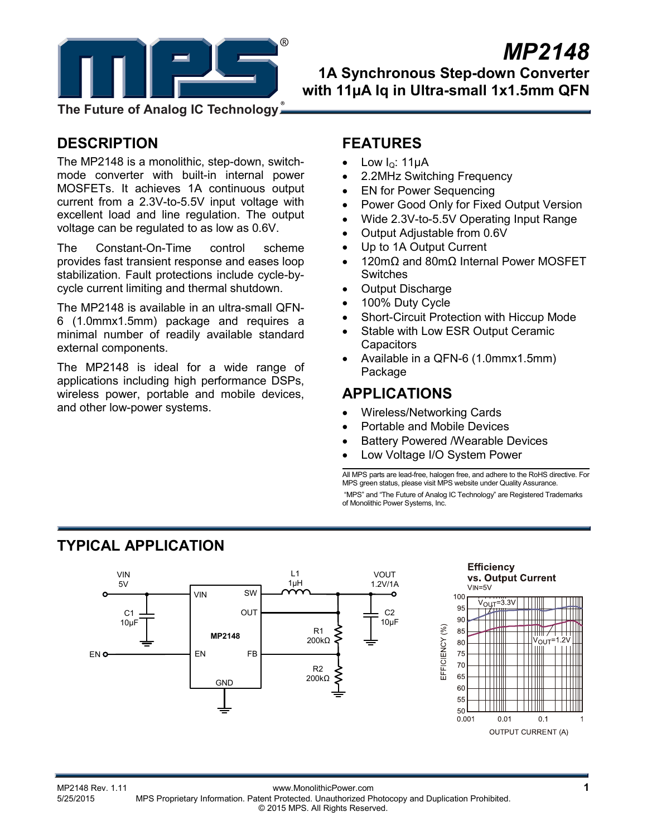

# *MP2148*

**1A Synchronous Step-down Converter with 11µA Iq in Ultra-small 1x1.5mm QFN** 

**The Future of Analog IC Technology**

# **DESCRIPTION**

The MP2148 is a monolithic, step-down, switchmode converter with built-in internal power MOSFETs. It achieves 1A continuous output current from a 2.3V-to-5.5V input voltage with excellent load and line regulation. The output voltage can be regulated to as low as 0.6V.

The Constant-On-Time control scheme provides fast transient response and eases loop stabilization. Fault protections include cycle-bycycle current limiting and thermal shutdown.

The MP2148 is available in an ultra-small QFN-6 (1.0mmx1.5mm) package and requires a minimal number of readily available standard external components.

The MP2148 is ideal for a wide range of applications including high performance DSPs, wireless power, portable and mobile devices, and other low-power systems.

# **FEATURES**

- Low  $I<sub>Q</sub>$ : 11μA
- 2.2MHz Switching Frequency
- EN for Power Sequencing
- Power Good Only for Fixed Output Version
- Wide 2.3V-to-5.5V Operating Input Range
- Output Adjustable from 0.6V
- Up to 1A Output Current
- 120mΩ and 80mΩ Internal Power MOSFET Switches
- Output Discharge
- 100% Duty Cycle
- Short-Circuit Protection with Hiccup Mode
- Stable with Low ESR Output Ceramic **Capacitors**
- Available in a QFN-6 (1.0mmx1.5mm) Package

## **APPLICATIONS**

- Wireless/Networking Cards
- Portable and Mobile Devices
- **Battery Powered /Wearable Devices**
- Low Voltage I/O System Power

All MPS parts are lead-free, halogen free, and adhere to the RoHS directive. For MPS green status, please visit MPS website under Quality Assurance. "MPS" and "The Future of Analog IC Technology" are Registered Trademarks of Monolithic Power Systems, Inc.

# **TYPICAL APPLICATION**

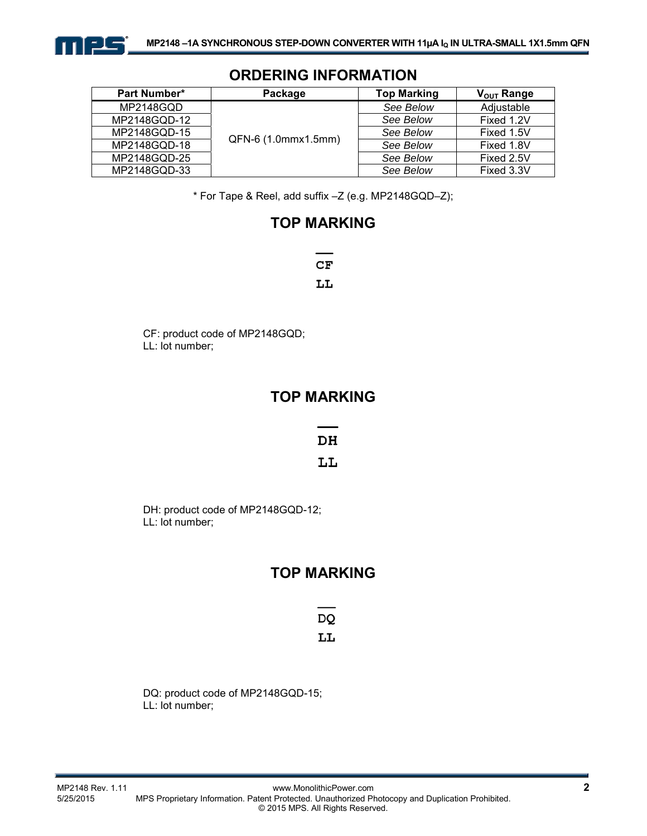

| Part Number* | Package             |           | $V_{\text{OUT}}$ Range |  |
|--------------|---------------------|-----------|------------------------|--|
| MP2148GQD    | QFN-6 (1.0mmx1.5mm) | See Below | Adiustable             |  |
| MP2148GQD-12 |                     | See Below | Fixed 1.2V             |  |
| MP2148GQD-15 |                     | See Below | Fixed 1.5V             |  |
| MP2148GQD-18 |                     | See Below | Fixed 1.8V             |  |
| MP2148GQD-25 |                     | See Below | Fixed 2.5V             |  |
| MP2148GQD-33 |                     | See Below | Fixed 3.3V             |  |

## **ORDERING INFORMATION**

\* For Tape & Reel, add suffix –Z (e.g. MP2148GQD–Z);

# **TOP MARKING**

 $CF$ LL

CF: product code of MP2148GQD; LL: lot number;

## **TOP MARKING**

DH

LL

DH: product code of MP2148GQD-12; LL: lot number;

# **TOP MARKING**

**DQ** LL

DQ: product code of MP2148GQD-15; LL: lot number;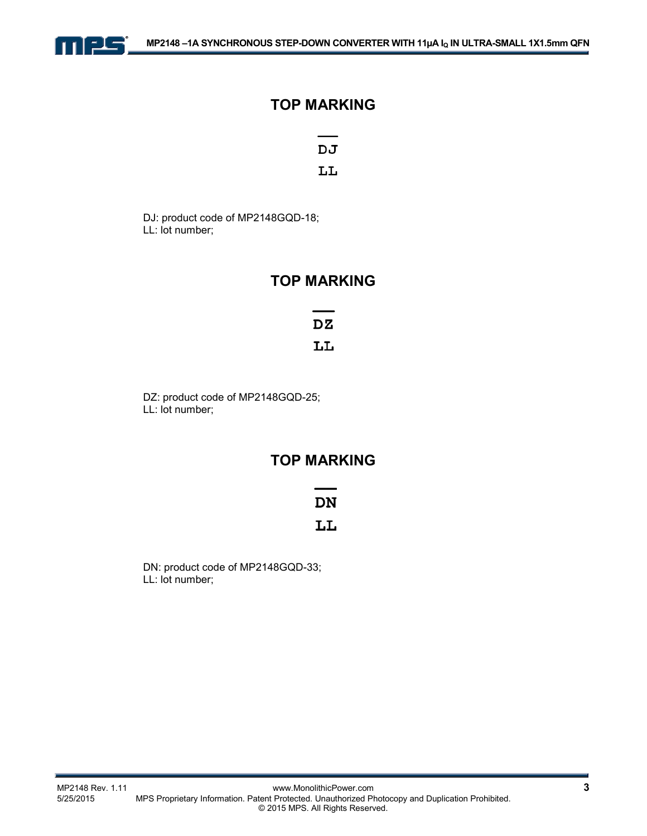

## **TOP MARKING**

DJ

LL

DJ: product code of MP2148GQD-18; LL: lot number;

## **TOP MARKING**

 $DZ$ LL

DZ: product code of MP2148GQD-25; LL: lot number;

## **TOP MARKING**

## **DN**

## LL

DN: product code of MP2148GQD-33; LL: lot number;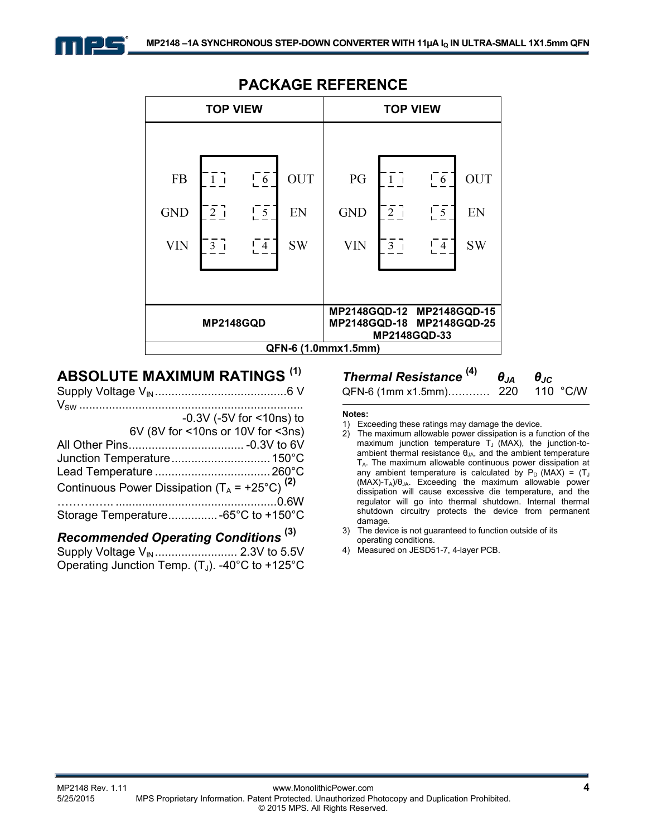



## **PACKAGE REFERENCE**

## **ABSOLUTE MAXIMUM RATINGS (1)**

|                                                           | $-0.3V$ ( $-5V$ for $<$ 10ns) to  |
|-----------------------------------------------------------|-----------------------------------|
|                                                           | 6V (8V for <10ns or 10V for <3ns) |
|                                                           |                                   |
|                                                           |                                   |
|                                                           |                                   |
| Continuous Power Dissipation $(T_A = +25^{\circ}C)^{(2)}$ |                                   |
|                                                           |                                   |
| Storage Temperature -65°C to +150°C                       |                                   |
|                                                           | (3)                               |

#### *Recommended Operating Conditions* **(3)** Supply Voltage VIN ......................... 2.3V to 5.5V

Operating Junction Temp.  $(T_J)$ . -40°C to +125°C

# *Thermal Resistance*  $^{(4)}$  *θ***<sub>JA</sub> <b>***θ***<sub>JC</sub>**<br>QFN-6 (1mm x1.5mm) 220 110 °C/W

```
QFN-6 (1mm x1.5mm)............. 220
```
**Notes:** 

- 1) Exceeding these ratings may damage the device.
- 2) The maximum allowable power dissipation is a function of the maximum junction temperature  $T_J$  (MAX), the junction-toambient thermal resistance  $\theta_{JA}$ , and the ambient temperature  $T_A$ . The maximum allowable continuous power dissipation at any ambient temperature is calculated by  $P_D$  (MAX) =  $(T_J$  $(MAX)-T_A)/\theta_{JA}$ . Exceeding the maximum allowable power dissipation will cause excessive die temperature, and the regulator will go into thermal shutdown. Internal thermal shutdown circuitry protects the device from permanent damage.
- 3) The device is not guaranteed to function outside of its operating conditions.
- 4) Measured on JESD51-7, 4-layer PCB.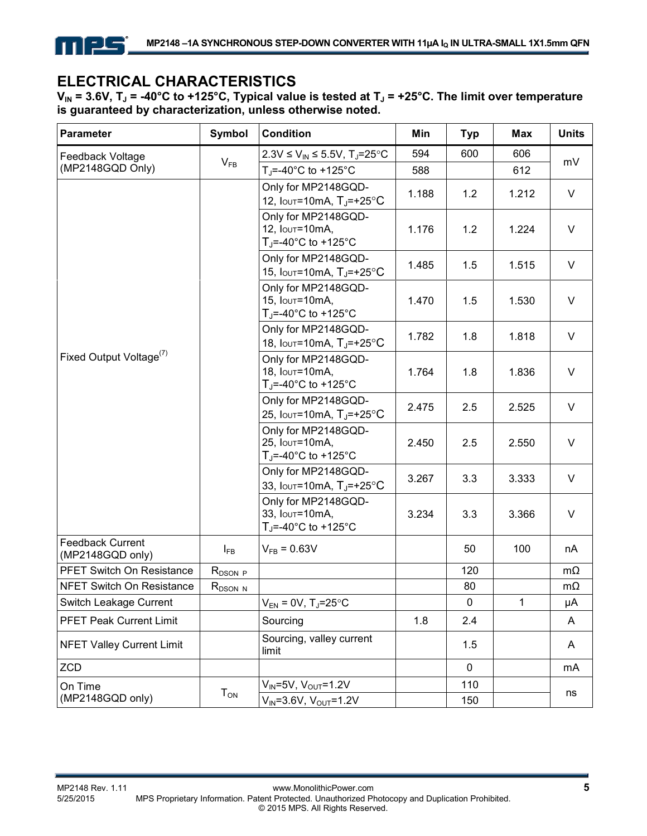

# **ELECTRICAL CHARACTERISTICS**

V<sub>IN</sub> = 3.6V, T<sub>J</sub> = -40°C to +125°C, Typical value is tested at T<sub>J</sub> = +25°C. The limit over temperature **is guaranteed by characterization, unless otherwise noted.** 

| Parameter                            | <b>Symbol</b> | <b>Condition</b>                                                                             | Min   | <b>Typ</b>  | Max   | <b>Units</b> |
|--------------------------------------|---------------|----------------------------------------------------------------------------------------------|-------|-------------|-------|--------------|
| Feedback Voltage                     |               | 2.3V ≤ $V_{IN}$ ≤ 5.5V, T <sub>J</sub> =25°C                                                 | 594   | 600         | 606   |              |
| (MP2148GQD Only)                     | $V_{FB}$      | T <sub>J</sub> =-40°C to +125°C                                                              | 588   |             | 612   | mV           |
|                                      |               | Only for MP2148GQD-<br>12, $Iov = 10mA$ , $T_{J} = +25°C$                                    | 1.188 | 1.2         | 1.212 | V            |
|                                      |               | Only for MP2148GQD-<br>12, Iout=10mA,<br>$T_i = -40^\circ \text{C}$ to $+125^\circ \text{C}$ | 1.176 | 1.2         | 1.224 | $\vee$       |
|                                      |               | Only for MP2148GQD-<br>15, $Iov = 10mA$ , $T_J = +25°C$                                      | 1.485 | 1.5         | 1.515 | $\vee$       |
|                                      |               | Only for MP2148GQD-<br>15, Iout=10mA,<br>$T_J = -40^{\circ}$ C to +125 $^{\circ}$ C          | 1.470 | 1.5         | 1.530 | $\vee$       |
|                                      |               | Only for MP2148GQD-<br>18, Iout=10mA, T <sub>J</sub> =+25°C                                  | 1.782 | 1.8         | 1.818 | $\vee$       |
| Fixed Output Voltage <sup>(7)</sup>  |               | Only for MP2148GQD-<br>18, Iout=10mA,<br>T <sub>J</sub> =-40°C to +125°C                     | 1.764 | 1.8         | 1.836 | V            |
|                                      |               | Only for MP2148GQD-<br>25, Iout=10mA, $T_J$ =+25°C                                           | 2.475 | 2.5         | 2.525 | V            |
|                                      |               | Only for MP2148GQD-<br>25, Iout=10mA,<br>$T_J = -40$ °C to +125°C                            | 2.450 | 2.5         | 2.550 | $\vee$       |
|                                      |               | Only for MP2148GQD-<br>33, $I$ out=10mA, $T_{J}$ =+25°C                                      | 3.267 | 3.3         | 3.333 | V            |
|                                      |               | Only for MP2148GQD-<br>33, Iout=10mA,<br>$T_{J}$ =-40°C to +125°C                            | 3.234 | 3.3         | 3.366 | $\vee$       |
| Feedback Current<br>(MP2148GQD only) | $I_{FB}$      | $V_{FB} = 0.63V$                                                                             |       | 50          | 100   | nA           |
| PFET Switch On Resistance            | $R_{DSON}$ p  |                                                                                              |       | 120         |       | $m\Omega$    |
| NFET Switch On Resistance            | $R_{DSON N}$  |                                                                                              |       | 80          |       | $m\Omega$    |
| Switch Leakage Current               |               | $V_{EN}$ = 0V, T <sub>J</sub> =25°C                                                          |       | 0           | 1     | μA           |
| <b>PFET Peak Current Limit</b>       |               | Sourcing                                                                                     | 1.8   | 2.4         |       | A            |
| <b>NFET Valley Current Limit</b>     |               | Sourcing, valley current<br>limit                                                            |       | 1.5         |       | A            |
| <b>ZCD</b>                           |               |                                                                                              |       | $\mathbf 0$ |       | mA           |
| On Time                              |               | $V_{IN}$ =5V, $V_{OUT}$ =1.2V                                                                |       | 110         |       |              |
| (MP2148GQD only)                     | $T_{ON}$      | $V_{IN} = 3.6V$ , $V_{OUT} = 1.2V$                                                           |       | 150         |       | ns           |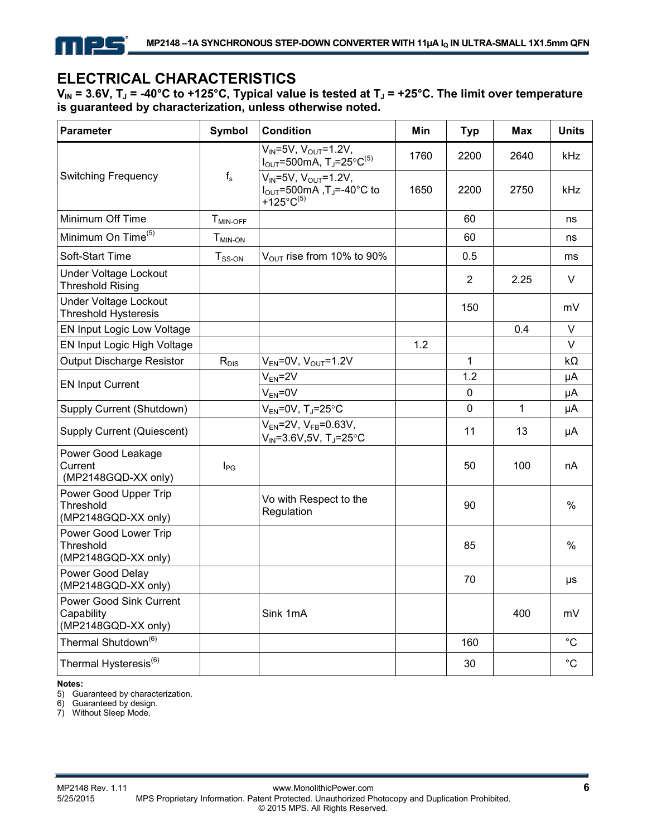# **ELECTRICAL CHARACTERISTICS**

 $V_{IN}$  = 3.6V,  $T_J$  = -40°C to +125°C, Typical value is tested at  $T_J$  = +25°C. The limit over temperature **is guaranteed by characterization, unless otherwise noted.** 

| <b>Parameter</b>                                             | <b>Symbol</b>        | <b>Condition</b>                                                                                                 | Min  | <b>Typ</b>  | <b>Max</b> | <b>Units</b> |
|--------------------------------------------------------------|----------------------|------------------------------------------------------------------------------------------------------------------|------|-------------|------------|--------------|
|                                                              |                      | $V_{IN} = 5V$ , $V_{OUT} = 1.2V$ ,<br>$I_{\text{OUT}}$ =500mA, T <sub>J</sub> =25°C <sup>(5)</sup>               | 1760 | 2200        | 2640       | kHz          |
| <b>Switching Frequency</b>                                   | $f_s$                | $V_{IN} = 5V$ , $V_{OUT} = 1.2V$ ,<br>$I_{\text{OUT}}$ =500mA, T <sub>J</sub> =-40°C to<br>+125°C <sup>(5)</sup> | 1650 | 2200        | 2750       | kHz          |
| Minimum Off Time                                             | T <sub>MIN-OFF</sub> |                                                                                                                  |      | 60          |            | ns           |
| Minimum On Time <sup>(5)</sup>                               | $T_{MIN-ON}$         |                                                                                                                  |      | 60          |            | ns           |
| Soft-Start Time                                              | $T_{SS-ON}$          | $V_{\text{OUT}}$ rise from 10% to 90%                                                                            |      | 0.5         |            | ms           |
| Under Voltage Lockout<br><b>Threshold Rising</b>             |                      |                                                                                                                  |      | 2           | 2.25       | $\vee$       |
| <b>Under Voltage Lockout</b><br><b>Threshold Hysteresis</b>  |                      |                                                                                                                  |      | 150         |            | mV           |
| EN Input Logic Low Voltage                                   |                      |                                                                                                                  |      |             | 0.4        | $\vee$       |
| EN Input Logic High Voltage                                  |                      |                                                                                                                  | 1.2  |             |            | $\vee$       |
| Output Discharge Resistor                                    | $R_{DIS}$            | $V_{EN}$ =0V, $V_{OUT}$ =1.2V                                                                                    |      | 1           |            | kΩ           |
| <b>EN Input Current</b>                                      |                      | $V_{EN} = 2V$                                                                                                    |      | 1.2         |            | μA           |
|                                                              |                      | $V_{EN} = 0V$                                                                                                    |      | $\mathbf 0$ |            | μA           |
| Supply Current (Shutdown)                                    |                      | $V_{EN}$ =0V, T <sub>J</sub> =25°C                                                                               |      | $\mathbf 0$ | 1          | μA           |
| Supply Current (Quiescent)                                   |                      | $V_{EN}$ =2V, $V_{FB}$ =0.63V,<br>$V_{IN} = 3.6V, 5V, T_J = 25^{\circ}C$                                         |      | 11          | 13         | μA           |
| Power Good Leakage<br>Current<br>(MP2148GQD-XX only)         | $I_{PG}$             |                                                                                                                  |      | 50          | 100        | nA           |
| Power Good Upper Trip<br>Threshold<br>(MP2148GQD-XX only)    |                      | Vo with Respect to the<br>Regulation                                                                             |      | 90          |            | %            |
| Power Good Lower Trip<br>Threshold<br>(MP2148GQD-XX only)    |                      |                                                                                                                  |      | 85          |            | %            |
| Power Good Delay<br>(MP2148GQD-XX only)                      |                      |                                                                                                                  |      | 70          |            | μs           |
| Power Good Sink Current<br>Capability<br>(MP2148GQD-XX only) |                      | Sink 1mA                                                                                                         |      |             | 400        | mV           |
| Thermal Shutdown <sup>(6)</sup>                              |                      |                                                                                                                  |      | 160         |            | $^{\circ}C$  |
| Thermal Hysteresis <sup>(6)</sup>                            |                      |                                                                                                                  |      | 30          |            | $^{\circ}C$  |

**Notes:** 

5) Guaranteed by characterization.

6) Guaranteed by design.

7) Without Sleep Mode.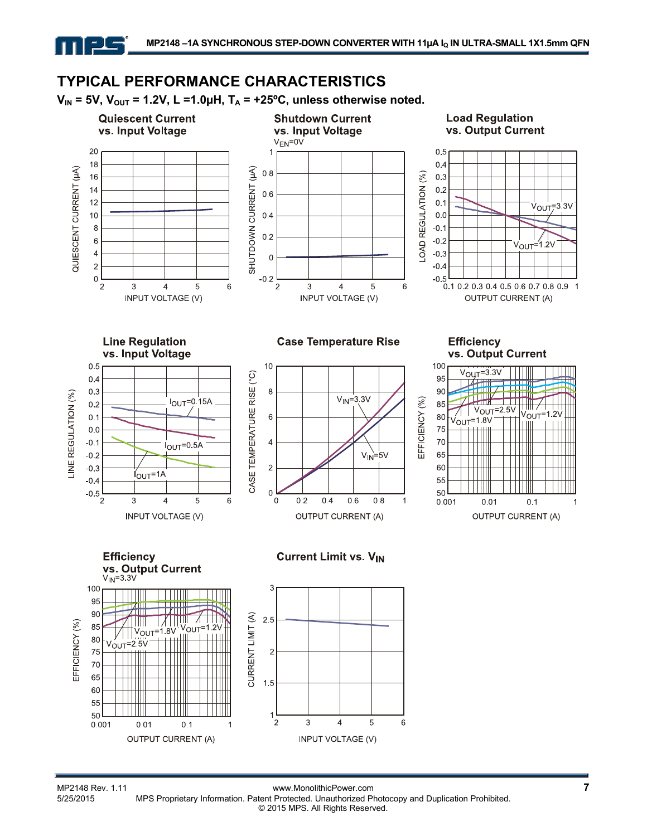# **TYPICAL PERFORMANCE CHARACTERISTICS**

 $V_{IN}$  = 5V,  $V_{OUT}$  = 1.2V, L =1.0µH,  $T_A$  = +25°C, unless otherwise noted.



MP2148 Rev. 1.11 www.MonolithicPower.com<br>5/25/2015 MPS Proprietary Information. Patent Protected. Unauthorized Photocopy and Duplication Prohibited. MPS Proprietary Information. Patent Protected. Unauthorized Photocopy and Duplication Prohibited. © 2015 MPS. All Rights Reserved.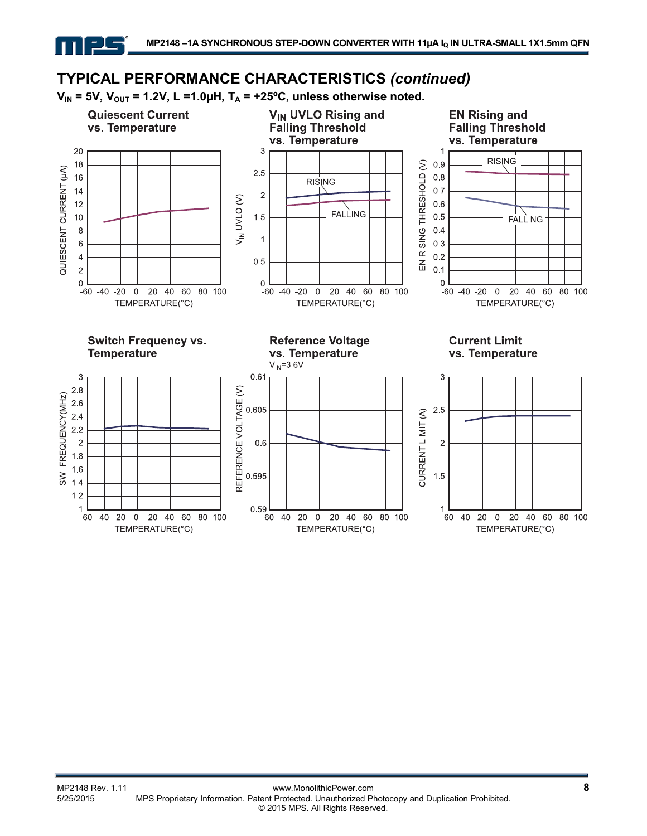$V_{IN}$  = 5V,  $V_{OUT}$  = 1.2V, L =1.0µH,  $T_A$  = +25°C, unless otherwise noted.

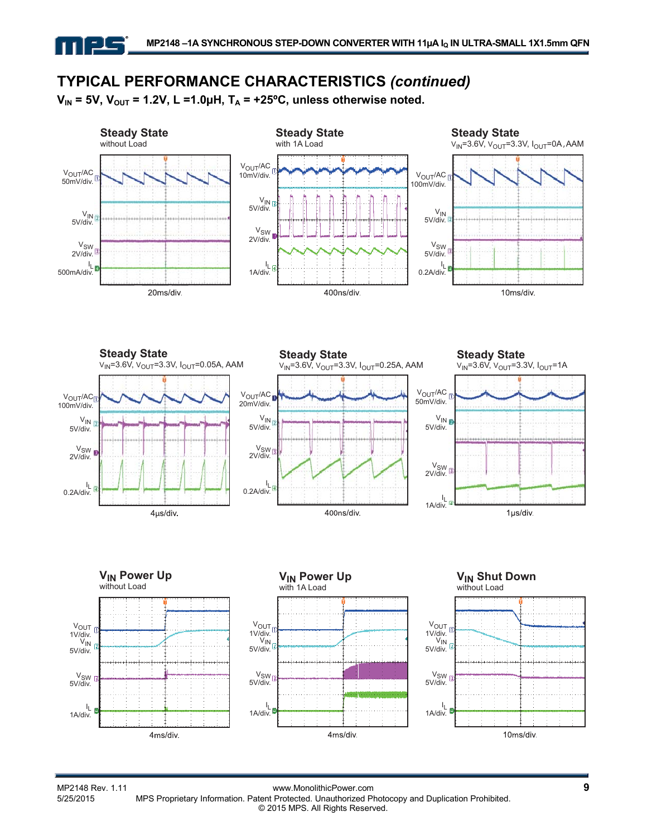$V_{IN}$  = 5V,  $V_{OUT}$  = 1.2V, L =1.0µH,  $T_A$  = +25°C, unless otherwise noted.



MP2148 Rev. 1.11 www.MonolithicPower.com<br>5/25/2015 MPS Proprietary Information. Patent Protected. Unauthorized Photocopy and Duplication Prohibited. MPS Proprietary Information. Patent Protected. Unauthorized Photocopy and Duplication Prohibited. © 2015 MPS. All Rights Reserved.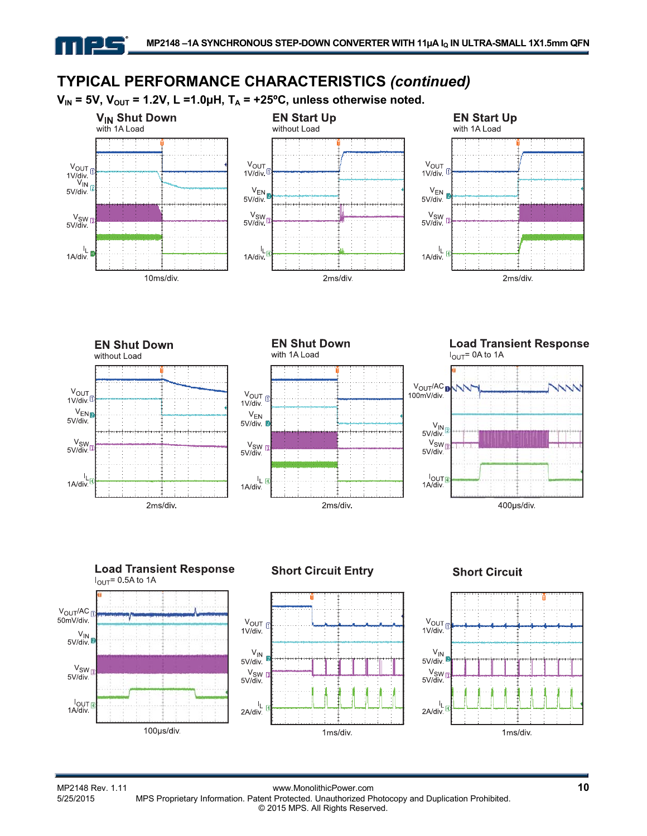$V_{IN}$  = 5V,  $V_{OUT}$  = 1.2V, L =1.0µH,  $T_A$  = +25°C, unless otherwise noted.













#### **Short Circuit**



MP2148 Rev. 1.11 www.MonolithicPower.com **10** MPS Proprietary Information. Patent Protected. Unauthorized Photocopy and Duplication Prohibited. © 2015 MPS. All Rights Reserved.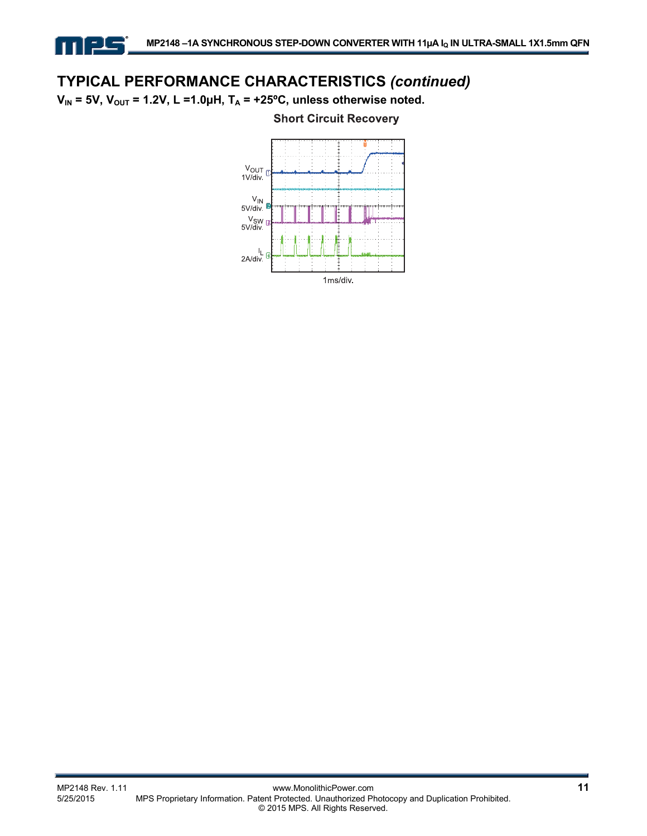$V_{IN}$  = 5V,  $V_{OUT}$  = 1.2V, L =1.0µH,  $T_A$  = +25°C, unless otherwise noted.

ᆗ



#### **Short Circuit Recovery**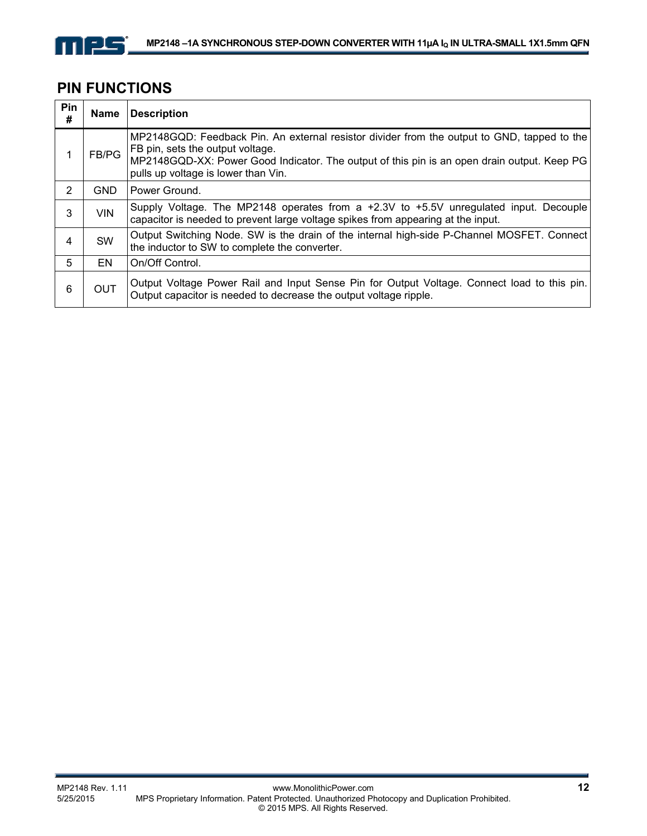

 $\mathbf{r}$ 

## **PIN FUNCTIONS**

| Pin<br># | Name       | <b>Description</b>                                                                                                                                                                                                                                                    |
|----------|------------|-----------------------------------------------------------------------------------------------------------------------------------------------------------------------------------------------------------------------------------------------------------------------|
|          | FB/PG      | MP2148GQD: Feedback Pin. An external resistor divider from the output to GND, tapped to the<br>FB pin, sets the output voltage.<br>MP2148GQD-XX: Power Good Indicator. The output of this pin is an open drain output. Keep PG<br>pulls up voltage is lower than Vin. |
| 2        | <b>GND</b> | Power Ground.                                                                                                                                                                                                                                                         |
| 3        | <b>VIN</b> | Supply Voltage. The MP2148 operates from a $+2.3V$ to $+5.5V$ unregulated input. Decouple<br>capacitor is needed to prevent large voltage spikes from appearing at the input.                                                                                         |
| 4        | <b>SW</b>  | Output Switching Node. SW is the drain of the internal high-side P-Channel MOSFET. Connect<br>the inductor to SW to complete the converter.                                                                                                                           |
| 5        | EN         | On/Off Control.                                                                                                                                                                                                                                                       |
| 6        | <b>OUT</b> | Output Voltage Power Rail and Input Sense Pin for Output Voltage. Connect load to this pin.<br>Output capacitor is needed to decrease the output voltage ripple.                                                                                                      |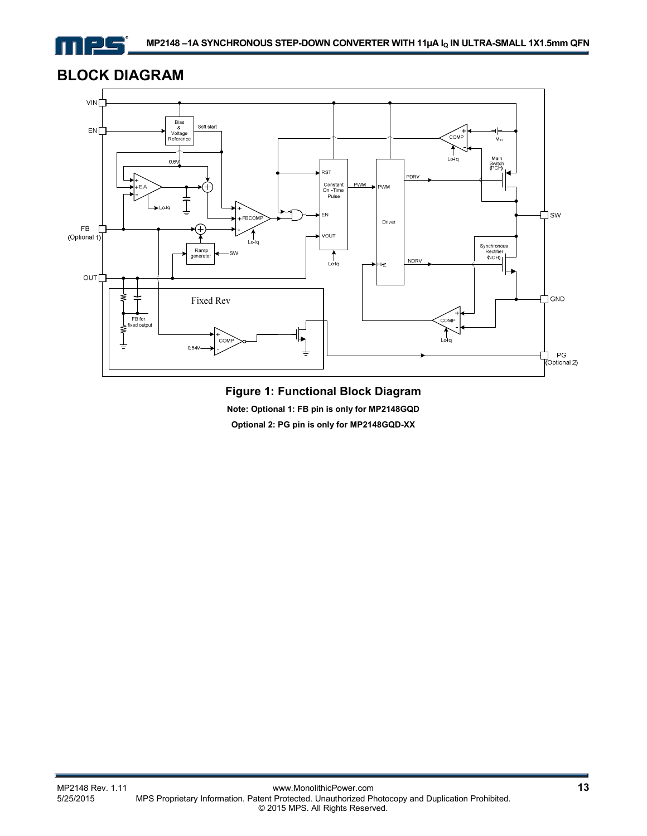

## **BLOCK DIAGRAM**



## **Figure 1: Functional Block Diagram**

**Note: Optional 1: FB pin is only for MP2148GQD** 

**Optional 2: PG pin is only for MP2148GQD-XX**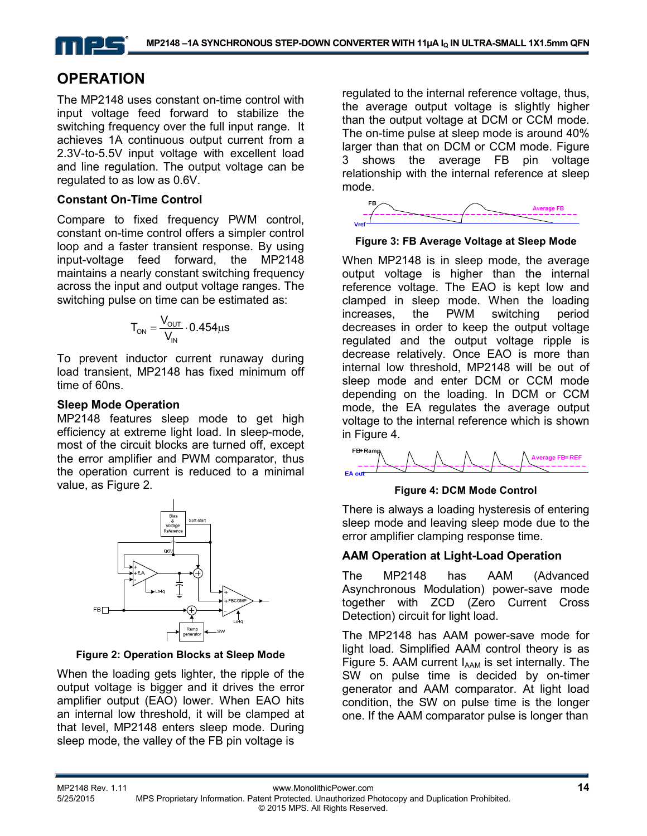## **OPERATION**

The MP2148 uses constant on-time control with input voltage feed forward to stabilize the switching frequency over the full input range. It achieves 1A continuous output current from a 2.3V-to-5.5V input voltage with excellent load and line regulation. The output voltage can be regulated to as low as 0.6V.

#### **Constant On-Time Control**

Compare to fixed frequency PWM control, constant on-time control offers a simpler control loop and a faster transient response. By using input-voltage feed forward, the MP2148 maintains a nearly constant switching frequency across the input and output voltage ranges. The switching pulse on time can be estimated as:

$$
T_{ON} = \frac{V_{OUT}}{V_{IN}} \cdot 0.454 \mu s
$$

To prevent inductor current runaway during load transient, MP2148 has fixed minimum off time of 60ns.

#### **Sleep Mode Operation**

MP2148 features sleep mode to get high efficiency at extreme light load. In sleep-mode, most of the circuit blocks are turned off, except the error amplifier and PWM comparator, thus the operation current is reduced to a minimal value, as Figure 2.



**Figure 2: Operation Blocks at Sleep Mode** 

When the loading gets lighter, the ripple of the output voltage is bigger and it drives the error amplifier output (EAO) lower. When EAO hits an internal low threshold, it will be clamped at that level, MP2148 enters sleep mode. During sleep mode, the valley of the FB pin voltage is

regulated to the internal reference voltage, thus, the average output voltage is slightly higher than the output voltage at DCM or CCM mode. The on-time pulse at sleep mode is around 40% larger than that on DCM or CCM mode. Figure 3 shows the average FB pin voltage relationship with the internal reference at sleep mode.



#### **Figure 3: FB Average Voltage at Sleep Mode**

When MP2148 is in sleep mode, the average output voltage is higher than the internal reference voltage. The EAO is kept low and clamped in sleep mode. When the loading increases, the PWM switching period decreases in order to keep the output voltage regulated and the output voltage ripple is decrease relatively. Once EAO is more than internal low threshold, MP2148 will be out of sleep mode and enter DCM or CCM mode depending on the loading. In DCM or CCM mode, the EA regulates the average output voltage to the internal reference which is shown in Figure 4.



#### **Figure 4: DCM Mode Control**

There is always a loading hysteresis of entering sleep mode and leaving sleep mode due to the error amplifier clamping response time.

#### **AAM Operation at Light-Load Operation**

The MP2148 has AAM (Advanced Asynchronous Modulation) power-save mode together with ZCD (Zero Current Cross Detection) circuit for light load.

The MP2148 has AAM power-save mode for light load. Simplified AAM control theory is as Figure 5. AAM current  $I_{AAM}$  is set internally. The SW on pulse time is decided by on-timer generator and AAM comparator. At light load condition, the SW on pulse time is the longer one. If the AAM comparator pulse is longer than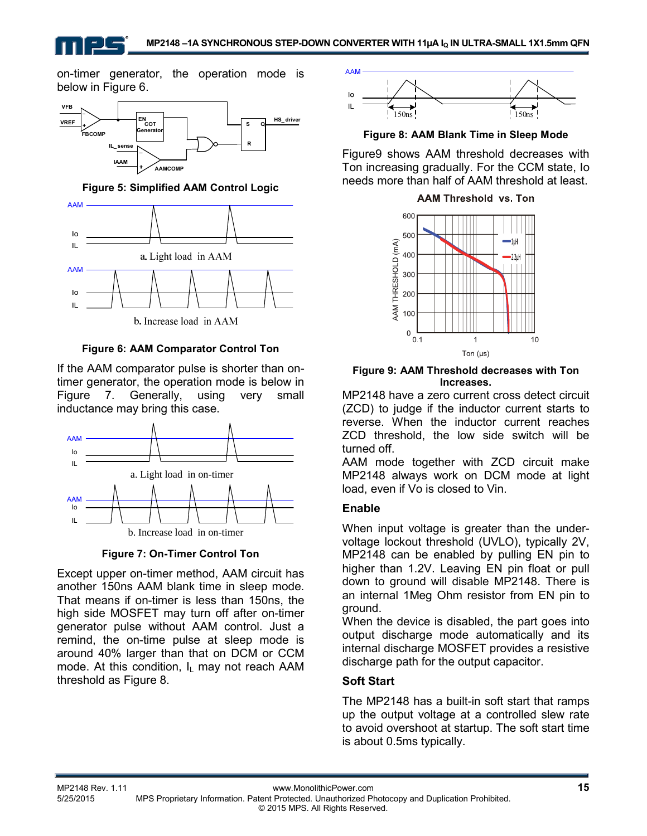on-timer generator, the operation mode is below in Figure 6.



**Figure 5: Simplified AAM Control Logic** 



b. Increase load in AAM

**Figure 6: AAM Comparator Control Ton** 

If the AAM comparator pulse is shorter than ontimer generator, the operation mode is below in Figure 7. Generally, using very small inductance may bring this case.





Except upper on-timer method, AAM circuit has another 150ns AAM blank time in sleep mode. That means if on-timer is less than 150ns, the high side MOSFET may turn off after on-timer generator pulse without AAM control. Just a remind, the on-time pulse at sleep mode is around 40% larger than that on DCM or CCM mode. At this condition,  $I_L$  may not reach AAM threshold as Figure 8.



**Figure 8: AAM Blank Time in Sleep Mode** 

Figure9 shows AAM threshold decreases with Ton increasing gradually. For the CCM state, Io needs more than half of AAM threshold at least.



**Figure 9: AAM Threshold decreases with Ton Increases.** 

MP2148 have a zero current cross detect circuit (ZCD) to judge if the inductor current starts to reverse. When the inductor current reaches ZCD threshold, the low side switch will be turned off.

AAM mode together with ZCD circuit make MP2148 always work on DCM mode at light load, even if Vo is closed to Vin.

## **Enable**

When input voltage is greater than the undervoltage lockout threshold (UVLO), typically 2V, MP2148 can be enabled by pulling EN pin to higher than 1.2V. Leaving EN pin float or pull down to ground will disable MP2148. There is an internal 1Meg Ohm resistor from EN pin to ground.

When the device is disabled, the part goes into output discharge mode automatically and its internal discharge MOSFET provides a resistive discharge path for the output capacitor.

## **Soft Start**

The MP2148 has a built-in soft start that ramps up the output voltage at a controlled slew rate to avoid overshoot at startup. The soft start time is about 0.5ms typically.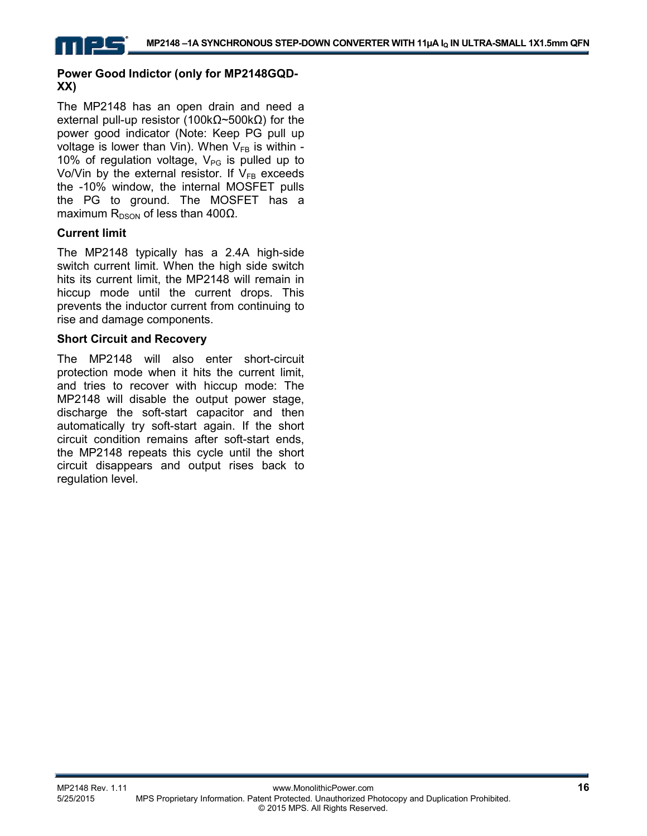#### **Power Good Indictor (only for MP2148GQD-XX)**

The MP2148 has an open drain and need a external pull-up resistor (100kΩ~500kΩ) for the power good indicator (Note: Keep PG pull up voltage is lower than Vin). When  $V_{FB}$  is within -10% of regulation voltage,  $V_{PG}$  is pulled up to Vo/Vin by the external resistor. If  $V_{FB}$  exceeds the -10% window, the internal MOSFET pulls the PG to ground. The MOSFET has a maximum R<sub>DSON</sub> of less than 400Ω.

### **Current limit**

The MP2148 typically has a 2.4A high-side switch current limit. When the high side switch hits its current limit, the MP2148 will remain in hiccup mode until the current drops. This prevents the inductor current from continuing to rise and damage components.

#### **Short Circuit and Recovery**

The MP2148 will also enter short-circuit protection mode when it hits the current limit, and tries to recover with hiccup mode: The MP2148 will disable the output power stage, discharge the soft-start capacitor and then automatically try soft-start again. If the short circuit condition remains after soft-start ends, the MP2148 repeats this cycle until the short circuit disappears and output rises back to regulation level.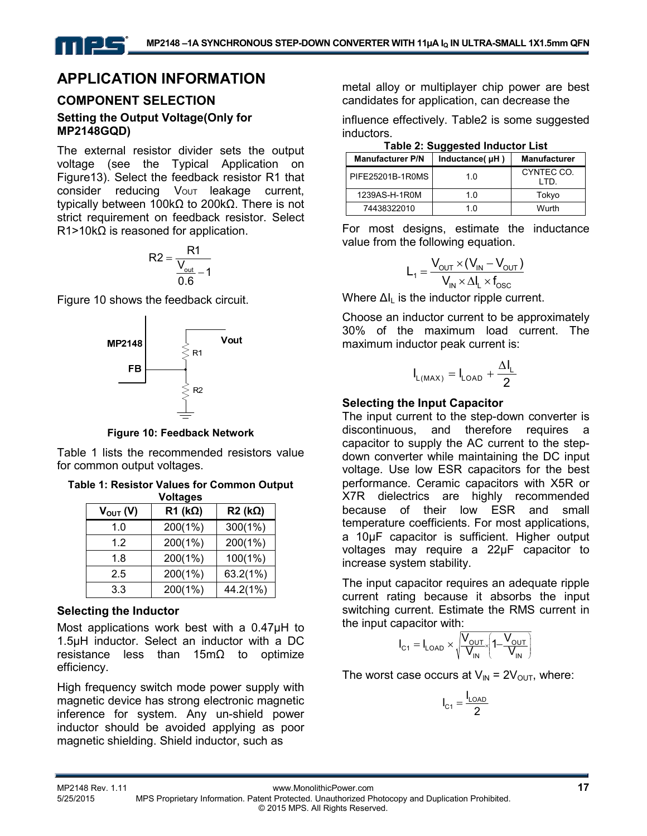## **APPLICATION INFORMATION**

### **COMPONENT SELECTION Setting the Output Voltage(Only for MP2148GQD)**

The external resistor divider sets the output voltage (see the Typical Application on Figure13). Select the feedback resistor R1 that consider reducing Vout leakage current, typically between 100kΩ to 200kΩ. There is not strict requirement on feedback resistor. Select  $R1>10k\Omega$  is reasoned for application.

$$
R2 = \frac{R1}{\frac{V_{\text{out}}}{0.6} - 1}
$$

Figure 10 shows the feedback circuit.



**Figure 10: Feedback Network** 

Table 1 lists the recommended resistors value for common output voltages.

**Table 1: Resistor Values for Common Output** 

| <b>Voltages</b> |                    |                    |  |  |
|-----------------|--------------------|--------------------|--|--|
| $V_{OUT} (V)$   | $R1$ (k $\Omega$ ) | $R2$ (k $\Omega$ ) |  |  |
| 1.0             | 200(1%)            | 300(1%)            |  |  |
| 1.2             | 200(1%)            | 200(1%)            |  |  |
| 1.8             | 200(1%)            | 100(1%)            |  |  |
| 2.5             | 200(1%)            | 63.2(1%)           |  |  |
| 3.3             | 200(1%)            | 44.2(1%)           |  |  |

#### **Selecting the Inductor**

Most applications work best with a 0.47µH to 1.5µH inductor. Select an inductor with a DC resistance less than 15mΩ to optimize efficiency.

High frequency switch mode power supply with magnetic device has strong electronic magnetic inference for system. Any un-shield power inductor should be avoided applying as poor magnetic shielding. Shield inductor, such as

metal alloy or multiplayer chip power are best candidates for application, can decrease the

influence effectively. Table2 is some suggested inductors.

|  |  | <b>Table 2: Suggested Inductor List</b> |
|--|--|-----------------------------------------|
|--|--|-----------------------------------------|

| <b>Manufacturer P/N</b> | Inductance(uH) | <b>Manufacturer</b> |  |  |
|-------------------------|----------------|---------------------|--|--|
| PIFE25201B-1R0MS        | 1 በ            | CYNTEC CO.<br>חד ו  |  |  |
| 1239AS-H-1R0M           | 1 0            | Tokyo               |  |  |
| 74438322010             | 1 በ            | Wurth               |  |  |

For most designs, estimate the inductance value from the following equation.

$$
L_1 = \frac{V_{\text{OUT}} \times (V_{\text{IN}} - V_{\text{OUT}})}{V_{\text{IN}} \times \Delta I_{\text{L}} \times f_{\text{OSC}}}
$$

Where  $\Delta I_{\parallel}$  is the inductor ripple current.

Choose an inductor current to be approximately 30% of the maximum load current. The maximum inductor peak current is:

$$
I_{L(MAX)}=I_{LOAD}+\frac{\Delta I_L}{2}
$$

#### **Selecting the Input Capacitor**

The input current to the step-down converter is discontinuous, and therefore requires a capacitor to supply the AC current to the stepdown converter while maintaining the DC input voltage. Use low ESR capacitors for the best performance. Ceramic capacitors with X5R or X7R dielectrics are highly recommended because of their low ESR and small temperature coefficients. For most applications, a 10µF capacitor is sufficient. Higher output voltages may require a 22μF capacitor to increase system stability.

The input capacitor requires an adequate ripple current rating because it absorbs the input switching current. Estimate the RMS current in the input capacitor with:

$$
I_{\text{C1}} = I_{\text{LOAD}} \times \sqrt{\frac{V_{\text{OUT}}}{V_{\text{IN}}}} \left( 1 - \frac{V_{\text{OUT}}}{V_{\text{IN}}} \right)
$$

The worst case occurs at  $V_{IN} = 2V_{OUT}$ , where:

$$
I_{C1} = \frac{I_{LOAD}}{2}
$$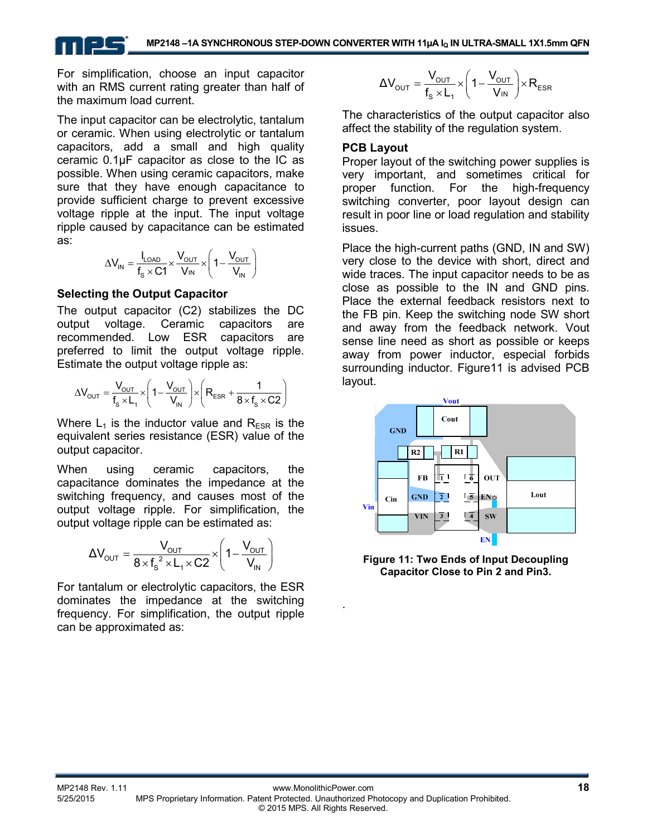For simplification, choose an input capacitor with an RMS current rating greater than half of the maximum load current.

The input capacitor can be electrolytic, tantalum or ceramic. When using electrolytic or tantalum capacitors, add a small and high quality ceramic 0.1μF capacitor as close to the IC as possible. When using ceramic capacitors, make sure that they have enough capacitance to provide sufficient charge to prevent excessive voltage ripple at the input. The input voltage ripple caused by capacitance can be estimated as:

$$
\Delta V_{IN} = \frac{I_{LOAD}}{f_s \times C1} \times \frac{V_{OUT}}{V_{IN}} \times \left(1 - \frac{V_{OUT}}{V_{IN}}\right)
$$

#### **Selecting the Output Capacitor**

The output capacitor (C2) stabilizes the DC output voltage. Ceramic capacitors are recommended. Low ESR capacitors are preferred to limit the output voltage ripple. Estimate the output voltage ripple as:

$$
\Delta V_{\text{OUT}}=\frac{V_{\text{OUT}}}{f_s \times L_1} \times \left(1-\frac{V_{\text{OUT}}}{V_{\text{IN}}}\right) \times \left(R_{\text{ESR}}+\frac{1}{8 \times f_s \times C2}\right)
$$

Where  $L_1$  is the inductor value and  $R_{FSR}$  is the equivalent series resistance (ESR) value of the output capacitor.

When using ceramic capacitors, the capacitance dominates the impedance at the switching frequency, and causes most of the output voltage ripple. For simplification, the output voltage ripple can be estimated as:

$$
\Delta V_{\text{OUT}} = \frac{V_{\text{OUT}}}{8 \times f_s^2 \times L_1 \times C2} \times \left(1 - \frac{V_{\text{OUT}}}{V_{\text{IN}}}\right)
$$

For tantalum or electrolytic capacitors, the ESR dominates the impedance at the switching frequency. For simplification, the output ripple can be approximated as:

$$
\Delta V_{\text{OUT}} = \frac{V_{\text{OUT}}}{f_s \times L_1} \times \left(1 - \frac{V_{\text{OUT}}}{V_{\text{IN}}}\right) \times R_{\text{ESR}}
$$

The characteristics of the output capacitor also affect the stability of the regulation system.

#### **PCB Layout**

Proper layout of the switching power supplies is very important, and sometimes critical for proper function. For the high-frequency switching converter, poor layout design can result in poor line or load regulation and stability issues.

Place the high-current paths (GND, IN and SW) very close to the device with short, direct and wide traces. The input capacitor needs to be as close as possible to the IN and GND pins. Place the external feedback resistors next to the FB pin. Keep the switching node SW short and away from the feedback network. Vout sense line need as short as possible or keeps away from power inductor, especial forbids surrounding inductor. Figure11 is advised PCB layout.



**Figure 11: Two Ends of Input Decoupling Capacitor Close to Pin 2 and Pin3.** 

.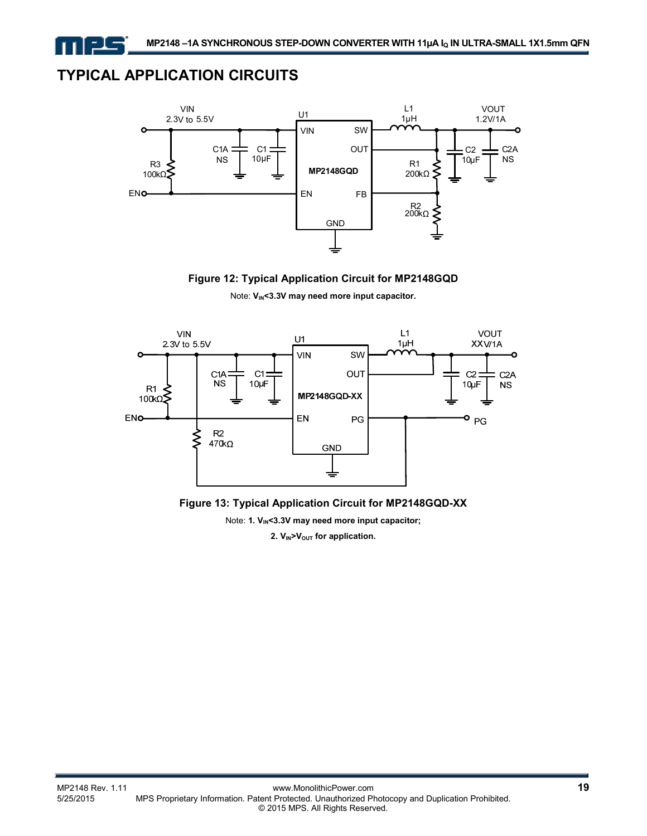# **TYPICAL APPLICATION CIRCUITS**

ᆗ





Note: V<sub>IN</sub><3.3V may need more input capacitor.





Note: 1. V<sub>IN</sub><3.3V may need more input capacitor; 2. V<sub>IN</sub>>V<sub>OUT</sub> for application.